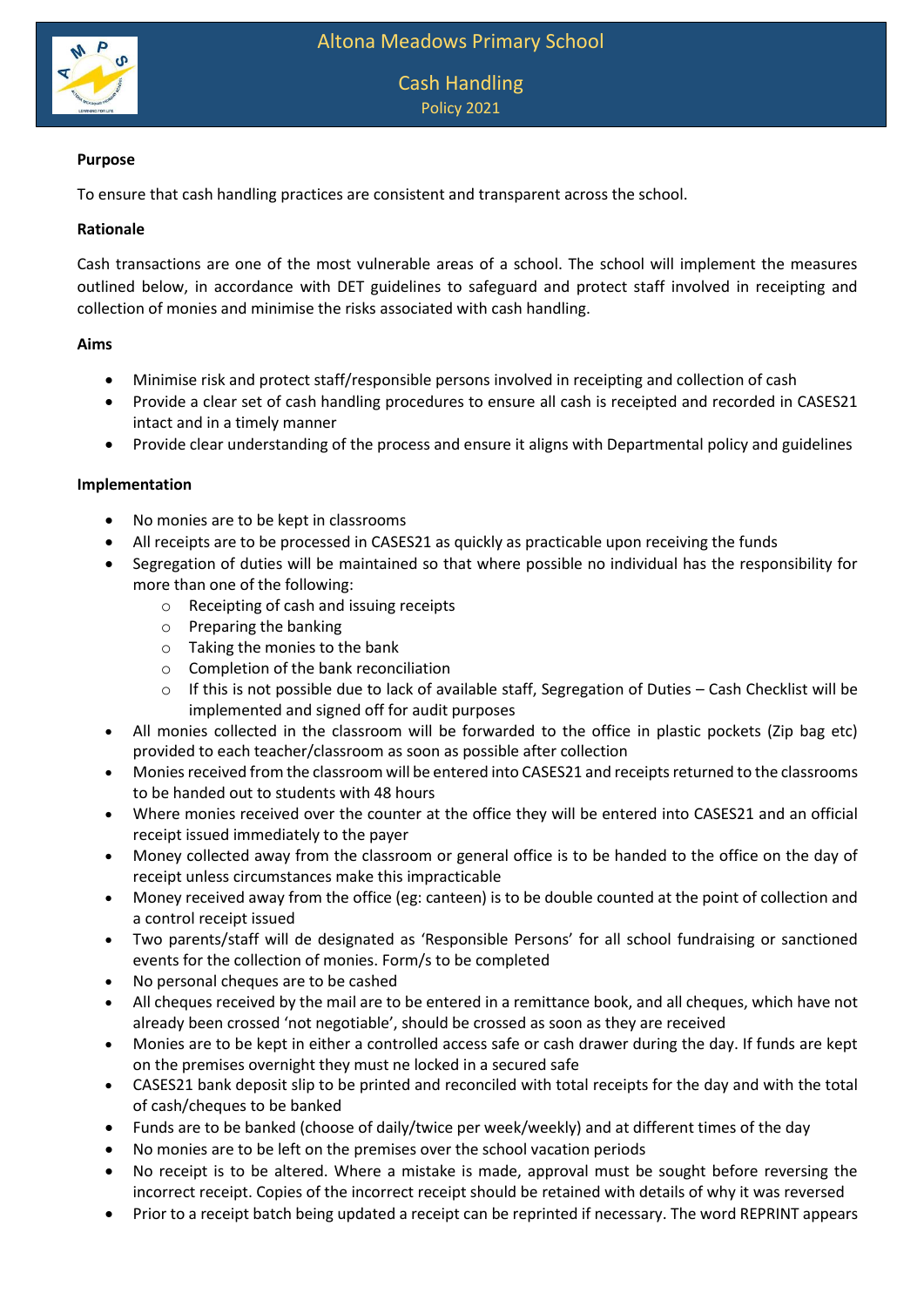

# Cash Handling Policy 2021

## **Purpose**

To ensure that cash handling practices are consistent and transparent across the school.

#### **Rationale**

Cash transactions are one of the most vulnerable areas of a school. The school will implement the measures outlined below, in accordance with DET guidelines to safeguard and protect staff involved in receipting and collection of monies and minimise the risks associated with cash handling.

### **Aims**

- Minimise risk and protect staff/responsible persons involved in receipting and collection of cash
- Provide a clear set of cash handling procedures to ensure all cash is receipted and recorded in CASES21 intact and in a timely manner
- Provide clear understanding of the process and ensure it aligns with Departmental policy and guidelines

### **Implementation**

- No monies are to be kept in classrooms
- All receipts are to be processed in CASES21 as quickly as practicable upon receiving the funds
- Segregation of duties will be maintained so that where possible no individual has the responsibility for more than one of the following:
	- o Receipting of cash and issuing receipts
	- o Preparing the banking
	- o Taking the monies to the bank
	- o Completion of the bank reconciliation
	- o If this is not possible due to lack of available staff, Segregation of Duties Cash Checklist will be implemented and signed off for audit purposes
- All monies collected in the classroom will be forwarded to the office in plastic pockets (Zip bag etc) provided to each teacher/classroom as soon as possible after collection
- Monies received from the classroom will be entered into CASES21 and receipts returned to the classrooms to be handed out to students with 48 hours
- Where monies received over the counter at the office they will be entered into CASES21 and an official receipt issued immediately to the payer
- Money collected away from the classroom or general office is to be handed to the office on the day of receipt unless circumstances make this impracticable
- Money received away from the office (eg: canteen) is to be double counted at the point of collection and a control receipt issued
- Two parents/staff will de designated as 'Responsible Persons' for all school fundraising or sanctioned events for the collection of monies. Form/s to be completed
- No personal cheques are to be cashed
- All cheques received by the mail are to be entered in a remittance book, and all cheques, which have not already been crossed 'not negotiable', should be crossed as soon as they are received
- Monies are to be kept in either a controlled access safe or cash drawer during the day. If funds are kept on the premises overnight they must ne locked in a secured safe
- CASES21 bank deposit slip to be printed and reconciled with total receipts for the day and with the total of cash/cheques to be banked
- Funds are to be banked (choose of daily/twice per week/weekly) and at different times of the day
- No monies are to be left on the premises over the school vacation periods
- No receipt is to be altered. Where a mistake is made, approval must be sought before reversing the incorrect receipt. Copies of the incorrect receipt should be retained with details of why it was reversed
- Prior to a receipt batch being updated a receipt can be reprinted if necessary. The word REPRINT appears